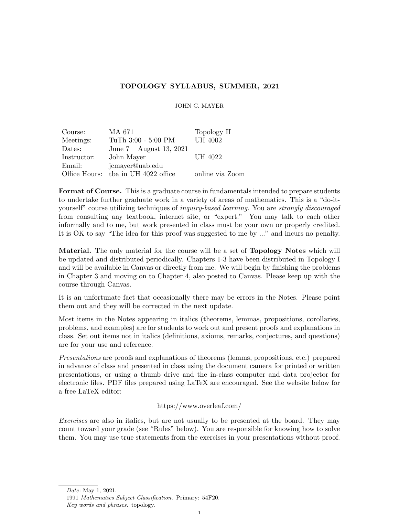## TOPOLOGY SYLLABUS, SUMMER, 2021

JOHN C. MAYER

| Course:     | MA 671                               | Topology II     |
|-------------|--------------------------------------|-----------------|
| Meetings:   | TuTh 3:00 - 5:00 PM                  | <b>UH 4002</b>  |
| Dates:      | June $7 -$ August 13, 2021           |                 |
| Instructor: | John Mayer                           | UH 4022         |
| Email:      | jcmayer@uab.edu                      |                 |
|             | Office Hours: that in UH 4022 office | online via Zoom |

**Format of Course.** This is a graduate course in fundamentals intended to prepare students to undertake further graduate work in a variety of areas of mathematics. This is a "do-ityourself" course utilizing techniques of *inquiry-based learning*. You are *strongly discouraged* from consulting any textbook, internet site, or "expert." You may talk to each other informally and to me, but work presented in class must be your own or properly credited. It is OK to say "The idea for this proof was suggested to me by ..." and incurs no penalty.

Material. The only material for the course will be a set of **Topology Notes** which will be updated and distributed periodically. Chapters 1-3 have been distributed in Topology I and will be available in Canvas or directly from me. We will begin by finishing the problems in Chapter 3 and moving on to Chapter 4, also posted to Canvas. Please keep up with the course through Canvas.

It is an unfortunate fact that occasionally there may be errors in the Notes. Please point them out and they will be corrected in the next update.

Most items in the Notes appearing in italics (theorems, lemmas, propositions, corollaries, problems, and examples) are for students to work out and present proofs and explanations in class. Set out items not in italics (definitions, axioms, remarks, conjectures, and questions) are for your use and reference.

Presentations are proofs and explanations of theorems (lemms, propositions, etc.) prepared in advance of class and presented in class using the document camera for printed or written presentations, or using a thumb drive and the in-class computer and data projector for electronic files. PDF files prepared using LaTeX are encouraged. See the website below for a free LaTeX editor:

## https://www.overleaf.com/

Exercises are also in italics, but are not usually to be presented at the board. They may count toward your grade (see "Rules" below). You are responsible for knowing how to solve them. You may use true statements from the exercises in your presentations without proof.

Date: May 1, 2021.

<sup>1991</sup> Mathematics Subject Classification. Primary: 54F20. Key words and phrases. topology.